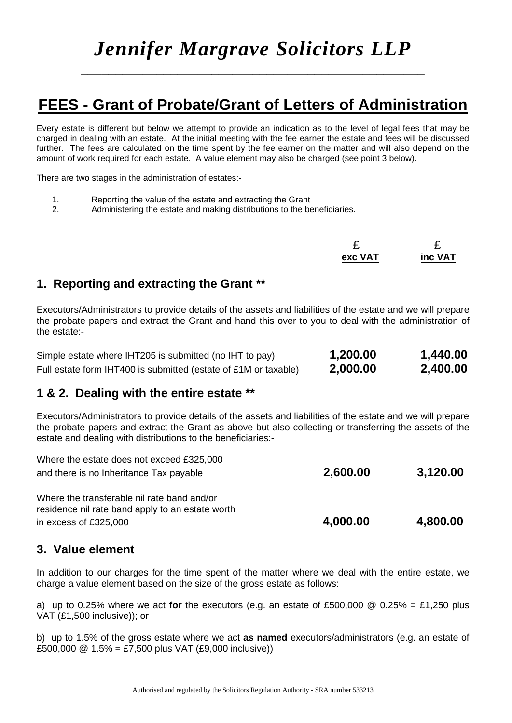# *Jennifer Margrave Solicitors LLP*

\_\_\_\_\_\_\_\_\_\_\_\_\_\_\_\_\_\_\_\_\_\_\_\_\_\_\_\_\_\_\_\_\_\_\_\_\_\_\_\_\_\_\_\_\_\_\_\_\_\_

# **FEES - Grant of Probate/Grant of Letters of Administration**

Every estate is different but below we attempt to provide an indication as to the level of legal fees that may be charged in dealing with an estate. At the initial meeting with the fee earner the estate and fees will be discussed further. The fees are calculated on the time spent by the fee earner on the matter and will also depend on the amount of work required for each estate. A value element may also be charged (see point 3 below).

There are two stages in the administration of estates:-

- 1. Reporting the value of the estate and extracting the Grant
- 2. Administering the estate and making distributions to the beneficiaries.

| -       |         |
|---------|---------|
| exc VAT | inc VAT |

### **1. Reporting and extracting the Grant \*\***

Executors/Administrators to provide details of the assets and liabilities of the estate and we will prepare the probate papers and extract the Grant and hand this over to you to deal with the administration of the estate:-

| Simple estate where IHT205 is submitted (no IHT to pay)         | 1,200.00 | 1,440.00 |
|-----------------------------------------------------------------|----------|----------|
| Full estate form IHT400 is submitted (estate of £1M or taxable) | 2,000.00 | 2,400.00 |

## **1 & 2. Dealing with the entire estate \*\***

Executors/Administrators to provide details of the assets and liabilities of the estate and we will prepare the probate papers and extract the Grant as above but also collecting or transferring the assets of the estate and dealing with distributions to the beneficiaries:-

| residence nil rate band apply to an estate worth<br>in excess of £325,000 | 4,000.00 | 4,800.00 |
|---------------------------------------------------------------------------|----------|----------|
| Where the transferable nil rate band and/or                               |          |          |
| and there is no Inheritance Tax payable                                   | 2,600.00 | 3,120.00 |
| Where the estate does not exceed £325,000                                 |          |          |

#### **3. Value element**

In addition to our charges for the time spent of the matter where we deal with the entire estate, we charge a value element based on the size of the gross estate as follows:

a) up to 0.25% where we act **for** the executors (e.g. an estate of £500,000 @ 0.25% = £1,250 plus VAT (£1,500 inclusive)); or

b) up to 1.5% of the gross estate where we act **as named** executors/administrators (e.g. an estate of £500,000  $\textcircled{2}$  1.5% = £7.500 plus VAT (£9,000 inclusive))